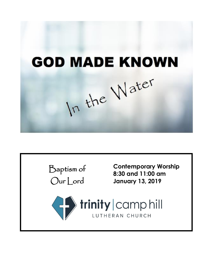



**Contemporary Worship 8:30 and 11:00 am January 13, 2019**

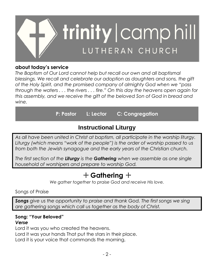

#### **about today's service**

*The Baptism of Our Lord cannot help but recall our own and all baptismal blessings. We recall and celebrate our adoption as daughters and sons, the gift of the Holy Spirit, and the promised company of almighty God when we "pass through the waters . . . the rivers . . . fire." On this day the heavens open again for this assembly, and we receive the gift of the beloved Son of God in bread and wine.*

**P: Pastor L: Lector C: Congregation**

# **Instructional Liturgy**

*As all have been united in Christ at baptism, all participate in the worship liturgy. Liturgy (which means "work of the people") is the order of worship passed to us from both the Jewish synagogue and the early years of the Christian church.*

*The first section of the Liturgy is the Gathering when we assemble as one single household of worshipers and prepare to worship God.*

# + **Gathering** +

*We gather together to praise God and receive His love.*

Songs of Praise

*Songs give us the opportunity to praise and thank God. The first songs we sing are gathering songs which call us together as the body of Christ.*

#### **Song: "Your Beloved"** *Verse*

Lord it was you who created the heavens. Lord it was your hands That put the stars in their place. Lord it is your voice that commands the morning,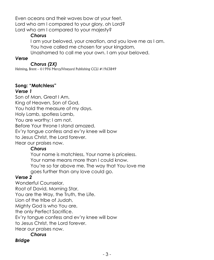Even oceans and their waves bow at your feet. Lord who am I compared to your glory, oh Lord? Lord who am I compared to your majesty?

#### *Chorus*

I am your beloved, your creation, and you love me as I am. You have called me chosen for your kingdom, Unashamed to call me your own. I am your beloved.

#### *Verse*

#### *Chorus (2X)*

Helming, Brent - ©1996 Mercy/Vineyard Publishing CCLI #1963849

## **Song: "Matchless"**

#### *Verse 1*

Son of Man, Great I Am, King of Heaven, Son of God, You hold the measure of my days. Holy Lamb, spotless Lamb, You are worthy; I am not. Before Your throne I stand amazed. Ev'ry tongue confess and ev'ry knee will bow to Jesus Christ, the Lord forever. Hear our praises now.

### *Chorus*

Your name is matchless, Your name is priceless. Your name means more than I could know. You're so far above me. The way that You love me goes further than any love could go.

## *Verse 2*

Wonderful Counselor, Root of David, Morning Star, You are the Way, the Truth, the Life. Lion of the tribe of Judah, Mighty God is who You are, the only Perfect Sacrifice. Ev'ry tongue confess and ev'ry knee will bow to Jesus Christ, the Lord forever. Hear our praises now.

# *Chorus*

### *Bridge*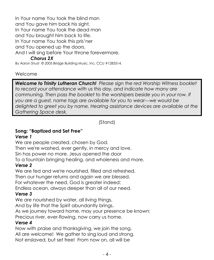In Your name You took the blind man and You gave him back his sight. In Your name You took the dead man and You brought him back to life. In Your name You took this pris'ner and You opened up the doors. And I will sing before Your throne forevermore.

#### *Chorus 2X*

By Aaron Shust © 2005 Bridge Building Music, Inc. CCLI #1283514.

### Welcome

*Welcome to Trinity Lutheran Church! Please sign the red Worship Witness booklet to record your attendance with us this day, and indicate how many are communing. Then pass the booklet to the worshipers beside you in your row. If you are a guest, name tags are available for you to wear---we would be delighted to greet you by name. Hearing assistance devices are available at the Gathering Space desk.*

(Stand)

### **Song: "Baptized and Set Free"**

#### *Verse 1*

We are people created, chosen by God. Then we're washed, ever gently, in mercy and love. Sin has power no more. Jesus opened the door To a fountain bringing healing, and wholeness and more.

## *Verse 2*

We are fed and we're nourished, filled and refreshed. Then our hunger returns and again we are blessed. For whatever the need, God is greater indeed: Endless ocean, always deeper than all of our need.

## *Verse 3*

We are nourished by water, all living things,

And by life that the Spirit abundantly brings.

As we journey toward home, may your presence be known:

Precious river, ever-flowing, now carry us home.

### *Verse 4*

Now with praise and thanksgiving, we join the song. All are welcome! We gather to sing loud and strong. Not enslaved, but set free! From now on, all will be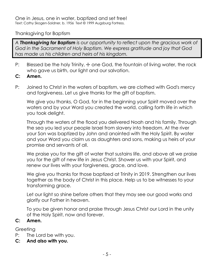Thanksgiving for Baptism

*A Thanksgiving for Baptism is our opportunity to reflect upon the gracious work of God in the Sacrament of Holy Baptism. We express gratitude and joy that God has made us his children and heirs of his kingdom.* 

- P: Blessed be the holy Trinity,  $\pm$  one God, the fountain of living water, the rock who gave us birth, our light and our salvation.
- **C: Amen.**
- P: Joined to Christ in the waters of baptism, we are clothed with God's mercy and forgiveness. Let us give thanks for the gift of baptism.

We give you thanks, O God, for in the beginning your Spirit moved over the waters and by your Word you created the world, calling forth life in which you took delight.

Through the waters of the flood you delivered Noah and his family. Through the sea you led your people Israel from slavery into freedom. At the river your Son was baptized by John and anointed with the Holy Spirit. By water and your Word you claim us as daughters and sons, making us heirs of your promise and servants of all.

We praise you for the gift of water that sustains life, and above all we praise you for the gift of new life in Jesus Christ. Shower us with your Spirit, and renew our lives with your forgiveness, grace, and love.

We give you thanks for those baptized at Trinity in 2019. Strengthen our lives together as the body of Christ in this place. Help us to be witnesses to your transforming grace.

Let our light so shine before others that they may see our good works and alorify our Father in heaven.

To you be given honor and praise through Jesus Christ our Lord in the unity of the Holy Spirit, now and forever.

#### **C: Amen.**

Greeting

- P: The Lord be with you.
- **C: And also with you.**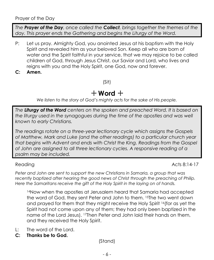*The Prayer of the Day, once called the Collect, brings together the themes of the day. This prayer ends the Gathering and begins the Liturgy of the Word.*

- P: Let us pray. Almighty God, you anointed Jesus at his baptism with the Holy Spirit and revealed him as your beloved Son. Keep all who are born of water and the Spirit faithful in your service, that we may rejoice to be called children of God, through Jesus Christ, our Savior and Lord, who lives and reigns with you and the Holy Spirit, one God, now and forever.
- **C: Amen.**

(Sit)

# $+$  Word  $+$

*We listen to the story of God's mighty acts for the sake of His people.*

*The Liturgy of the Word centers on the spoken and preached Word. It is based on*  the liturgy used in the synagogues during the time of the apostles and was well *known to early Christians.*

*The readings rotate on a three-year lectionary cycle which assigns the Gospels of Matthew, Mark and Luke (and the other readings) to a particular church year that begins with Advent and ends with Christ the King. Readings from the Gospel of John are assigned to all three lectionary cycles. A responsive reading of a psalm may be included.*

Reading **Acts** 8:14-17

*Peter and John are sent to support the new Christians in Samaria, a group that was recently baptized after hearing the good news of Christ through the preaching of Philip. Here the Samaritans receive the gift of the Holy Spirit in the laying on of hands.*

<sup>14</sup>Now when the apostles at Jerusalem heard that Samaria had accepted the word of God, they sent Peter and John to them. 15The two went down and prayed for them that they might receive the Holy Spirit 16(for as yet the Spirit had not come upon any of them; they had only been baptized in the name of the Lord Jesus). 17Then Peter and John laid their hands on them, and they received the Holy Spirit.

- L: The word of the Lord.
- **C: Thanks be to God.**

(Stand)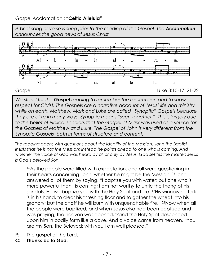*A brief song or verse is sung prior to the reading of the Gospel. The Acclamation announces the good news of Jesus Christ.*

![](_page_6_Figure_2.jpeg)

*We stand for the Gospel reading to remember the resurrection and to show respect for Christ. The Gospels are a narrative account of Jesus' life and ministry while on earth. Matthew, Mark and Luke are called "Synoptic" Gospels because they are alike in many ways. Synoptic means "seen together." This is largely due to the belief of Biblical scholars that the Gospel of Mark was used as a source for the Gospels of Matthew and Luke. The Gospel of John is very different from the Synoptic Gospels, both in terms of structure and content.*

*The reading opens with questions about the identity of the Messiah. John the Baptist insists that he is not the Messiah; instead he points ahead to one who is coming. And whether the voice of God was heard by all or only by Jesus, God settles the matter: Jesus is God's beloved Son.*

<sup>15</sup>As the people were filled with expectation, and all were questioning in their hearts concerning John, whether he might be the Messiah, 16John answered all of them by saying, "I baptize you with water; but one who is more powerful than I is coming; I am not worthy to untie the thong of his sandals. He will baptize you with the Holy Spirit and fire. 17His winnowing fork is in his hand, to clear his threshing floor and to gather the wheat into his granary; but the chaff he will burn with unquenchable fire." 21Now when all the people were baptized, and when Jesus also had been baptized and was praying, the heaven was opened, 22and the Holy Spirit descended upon him in bodily form like a dove. And a voice came from heaven, "You are my Son, the Beloved; with you I am well pleased."

- P: The gospel of the Lord.
- **C: Thanks be to God.**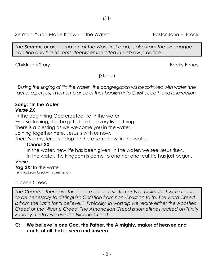(Sit)

Sermon: "God Made Known in the Water" Pastor John H. Brock

*The Sermon, or proclamation of the Word just read, is also from the synagogue tradition and has its roots deeply embedded in Hebrew practice.*

Children's Story Becky Enney

(Stand)

*During the singing of "In the Water" the congregation will be sprinkled with water (the act of asperges) in remembrance of their baptism into Christ's death and resurrection.*

#### **Song: "In the Water"** *Verse 2X*

In the beginning God created life in the water.

Ever sustaining, it is the gift of life for every living thing.

There is a blessing as we welcome you in the water.

Joining together here, Jesus is with us now,

There's a mysterious adoption here somehow, in the water.

### *Chorus 2X*

In the water, new life has been given, in the water, we see Jesus risen.

In the water, the kingdom is come to another one real life has just begun.

### *Verse*

*Tag 2X:* In the water. Terri McLean Used with permission

## Nicene Creed

*The Creeds – there are three – are ancient statements of belief that were found to be necessary to distinguish Christian from non-Christian faith. The word Creed is from the Latin for "I believe." Typically, in worship we recite either the Apostles' Creed or the Nicene Creed. The Athanasian Creed is sometimes recited on Trinity Sunday. Today we use the Nicene Creed.*

**C: We believe in one God, the Father, the Almighty, maker of heaven and earth, of all that is, seen and unseen.**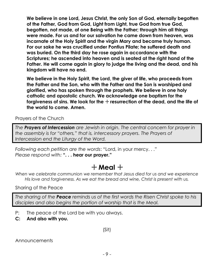**We believe in one Lord, Jesus Christ, the only Son of God, eternally begotten of the Father, God from God, Light from Light, true God from true God, begotten, not made, of one Being with the Father; through him all things were made. For us and for our salvation he came down from heaven, was incarnate of the Holy Spirit and the virgin Mary and became truly human. For our sake he was crucified under Pontius Pilate; he suffered death and was buried. On the third day he rose again in accordance with the Scriptures; he ascended into heaven and is seated at the right hand of the Father. He will come again in glory to judge the living and the dead, and his kingdom will have no end.**

**We believe in the Holy Spirit, the Lord, the giver of life, who proceeds from the Father and the Son, who with the Father and the Son is worshiped and glorified, who has spoken through the prophets. We believe in one holy catholic and apostolic church. We acknowledge one baptism for the**  forgiveness of sins. We look for the  $+$  resurrection of the dead, and the life of **the world to come. Amen.**

Prayers of the Church

*The Prayers of Intercession are Jewish in origin. The central concern for prayer in the assembly is for "others," that is, intercessory prayers. The Prayers of Intercession end the Liturgy of the Word.*

*Following each petition are the words*: "Lord, in your mercy. . ." *Please respond with:* **". . . hear our prayer."**

# $+$  Meal  $+$

*When we celebrate communion we remember that Jesus died for us and we experience His love and forgiveness. As we eat the bread and wine, Christ is present with us.*

Sharing of the Peace

*The sharing of the Peace reminds us of the first words the Risen Christ spoke to his disciples and also begins the portion of worship that is the Meal.*

- P: The peace of the Lord be with you always.
- **C: And also with you.**

(Sit)

Announcements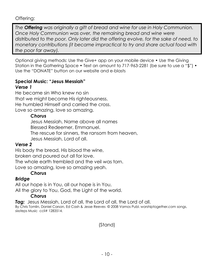Offering:

*The Offering was originally a gift of bread and wine for use in Holy Communion. Once Holy Communion was over, the remaining bread and wine were distributed to the poor. Only later did the offering evolve, for the sake of need, to monetary contributions (it became impractical to try and share actual food with the poor far away).*

Optional giving methods: Use the Give+ app on your mobile device • Use the Giving Station in the Gathering Space • Text an amount to 717-963-2281 (be sure to use a "\$") • Use the "DONATE" button on our website and e-blasts

#### **Special Music: "Jesus Messiah"** *Verse 1*

He became sin Who knew no sin that we might become His righteousness. He humbled Himself and carried the cross. Love so amazing, love so amazing.

#### *Chorus*

Jesus Messiah, Name above all names Blessed Redeemer, Emmanuel. The rescue for sinners, the ransom from heaven, Jesus Messiah, Lord of all.

#### *Verse 2*

His body the bread, His blood the wine, broken and poured out all for love. The whole earth trembled and the veil was torn. Love so amazing, love so amazing yeah.

# *Chorus*

### *Bridge*

All our hope is in You, all our hope is in You, All the glory to You, God, the Light of the world.

### *Chorus*

*Tag:*Jesus Messiah, Lord of all, the Lord of all, the Lord of all. By Chris Tomlin, Daniel Carson, Ed Cash & Jesse Reeves © 2008 Vamos Publ. worshiptogether.com songs, sixsteps Music ccli# 1283514.

(Stand)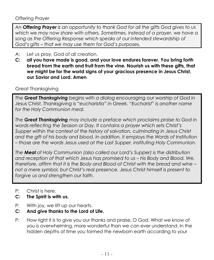#### Offering Prayer

*An Offering Prayer is an opportunity to thank God for all the gifts God gives to us which we may now share with others. Sometimes, instead of a prayer, we have a song as the Offering Response which speaks of our intended stewardship of God's gifts – that we may use them for God's purposes.*

- A: Let us pray. God of all creation,
- **C: all you have made is good, and your love endures forever. You bring forth bread from the earth and fruit from the vine. Nourish us with these gifts, that we might be for the world signs of your gracious presence in Jesus Christ, our Savior and Lord. Amen**

#### Great Thanksgiving

*The Great Thanksgiving begins with a dialog encouraging our worship of God in Jesus Christ. Thanksgiving is "eucharistia" in Greek. "Eucharist" is another name for the Holy Communion meal.*

*The Great Thanksgiving may include a preface which proclaims praise to God in words reflecting the Season or Day. It contains a prayer which sets Christ's Supper within the context of the history of salvation, culminating in Jesus Christ and the gift of his body and blood. In addition, it employs the Words of Institution – those are the words Jesus used at the Last Supper, instituting Holy Communion.*

*The Meal of Holy Communion (also called our Lord's Supper) is the distribution*  and reception of that which Jesus has promised to us – his Body and Blood. We, *therefore, affirm that it is the Body and Blood of Christ with the bread and wine – not a mere symbol, but Christ's real presence. Jesus Christ himself is present to forgive us and strengthen our faith.*

- P: Christ is here.
- **C: The Spirit is with us.**
- P: With joy, we lift up our hearts.
- **C: And give thanks to the Lord of Life.**
- P: How right it is to give you our thanks and praise, O God. What we know of you is overwhelming, more wonderful than we can ever understand. In the hidden depths of time you formed the newborn earth according to your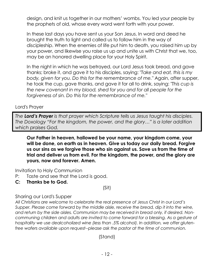design, and knit us together in our mothers' wombs. You led your people by the prophets of old, whose every word went forth with your power.

In these last days you have sent us your Son Jesus. In word and deed he brought the truth to light and called us to follow him in the way of discipleship. When the enemies of life put him to death, you raised him up by your power, and likewise you raise us up and unite us with Christ that we, too, may be an honored dwelling place for your Holy Spirit.

In the night in which he was betrayed, our Lord Jesus took bread, and gave thanks; broke it, and gave it to his disciples, saying: *"Take and eat, this is my body, given for you. Do this for the remembrance of me."* Again, after supper, he took the cup, gave thanks, and gave it for all to drink, saying: *"This cup is the new covenant in my blood, shed for you and for all people for the forgiveness of sin. Do this for the remembrance of me."*

#### Lord's Prayer

*The Lord's Prayer is that prayer which Scripture tells us Jesus taught his disciples. The Doxology "For the kingdom, the power, and the glory…" is a later addition which praises God.*

**Our Father in heaven, hallowed be your name, your kingdom come, your will be done, on earth as in heaven. Give us today our daily bread. Forgive us our sins as we forgive those who sin against us. Save us from the time of trial and deliver us from evil. For the kingdom, the power, and the glory are yours, now and forever. Amen.**

Invitation to Holy Communion

- P: Taste and see that the Lord is good.
- **C: Thanks be to God.**

(Sit)

Sharing our Lord's Supper

*All Christians are welcome to celebrate the real presence of Jesus Christ in our Lord's Supper. Please come forward by the middle aisle, receive the bread, dip it into the wine, and return by the side aisles. Communion may be received in bread only, if desired. Non*communing children and adults are invited to come forward for a blessing. As a gesture of *hospitality we use dealcoholized wine (less than .5% alcohol). In addition, we offer glutenfree wafers available upon request--please ask the pastor at the time of communion.*

(Stand)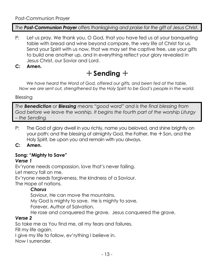*The Post-Communion Prayer offers thanksgiving and praise for the gift of Jesus Christ*.

- P: Let us pray. We thank you, O God, that you have fed us at your banqueting table with bread and wine beyond compare, the very life of Christ for us. Send your Spirit with us now, that we may set the captive free, use your gifts to build one another up, and in everything reflect your glory revealed in Jesus Christ, our Savior and Lord.
- **C: Amen.**

# + **Sending** +

*We have heard the Word of God, offered our gifts, and been fed at the table. Now we are sent out, strengthened by the Holy Spirit to be God's people in the world.*

#### Blessing

*The Benediction or Blessing means "good word" and is the final blessing from God before we leave the worship. It begins the fourth part of the worship Liturgy – the Sending.*

P: The God of glory dwell in you richly, name you beloved, and shine briahtly on your path; and the blessing of almighty God, the Father, the + Son, and the Holy Spirit, be upon you and remain with you always.

### **C: Amen.**

# **Song: "Mighty to Save"**

#### *Verse 1*

Ev'ryone needs compassion, love that's never failing.

Let mercy fall on me.

Ev'ryone needs forgiveness, the kindness of a Saviour.

The Hope of nations.

#### *Chorus*

Saviour, He can move the mountains.

My God is mighty to save. He is mighty to save.

Forever, Author of Salvation.

He rose and conquered the grave. Jesus conquered the grave.

#### *Verse 2*

So take me as You find me, all my fears and failures.

Fill my life again.

I give my life to follow, ev'rything I believe in.

Now I surrender.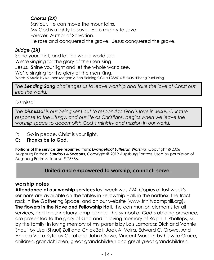### *Chorus (2X)*

Saviour, He can move the mountains. My God is mighty to save. He is mighty to save. Forever, Author of Salvation. He rose and conquered the grave. Jesus conquered the grave.

#### *Bridge (2X)*

Shine your light, and let the whole world see. We're singing for the glory of the risen King. Jesus. Shine your light and let the whole world see. We're singing for the glory of the risen King. Words & Music by Reuben Morgan & Ben Fielding CCLI #1283514 © 2006 Hillsong Publishing.

*The Sending Song challenges us to leave worship and take the love of Christ out into the world.*

#### Dismissal

*The Dismissal is our being sent out to respond to God's love in Jesus. Our true response to the Liturgy, and our life as Christians, begins when we leave the worship space to accomplish God's ministry and mission in our world.*

P: Go in peace. Christ is your light.

#### **C: Thanks be to God.**

**Portions of the service are reprinted from:** *Evangelical Lutheran Worship*, Copyright © 2006 Augsburg Fortress. *Sundays & Seasons*, Copyright © 2019 Augsburg Fortress. Used by permission of Augsburg Fortress License # 23686.

## **United and empowered to worship, connect, serve.**

### **worship notes**

**Attendance at our worship services** last week was 724. Copies of last week's sermons are available on the tables in Fellowship Hall, in the narthex, the tract rack in the Gathering Space, and on our website (www.trinitycamphill.org). **The flowers in the Nave and Fellowship Hall**, the communion elements for all services, and the sanctuary lamp candle, the symbol of God's abiding presence, are presented to the glory of God and in loving memory of Ralph J. Phelleps, Sr. by the family; in loving memory of my parents by Lois Lamarca; Dick and Vonnie Shaull by Lisa (Shaul) Zoll and Chick Zoll; Jack A. Vaira, Edward C. Crowe, And Angela Vaira Kyte by Carol and John Crowe, Vincent Morgan by his wife Grace, children, grandchildren, great grandchildren and great great grandchildren.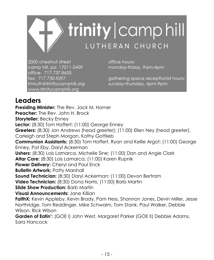![](_page_14_Picture_0.jpeg)

2000 chestnut street camp hill, pa 17011-5409 office: 717.737.8635 fax: 717.730.9297 trinluth@trinitycamphill.org www.trinitycamphill.org

office hours: monday-friday, 9am-4pm

gathering space receptionist hours: sunday-thursday, 6pm-9pm

# **Leaders**

**Presiding Minister:** The Rev. Jack M. Horner **Preacher:** The Rev. John H. Brock **Storyteller:** Becky Enney Lector: (8:30) Tom Hoffert; (11:00) George Enney **Greeters:** (8:30) Jon Andrews (head greeter); (11:00) Ellen Ney (head greeter), Carleigh and Steph Morgan, Kathy Gottlieb **Communion Assistants:** (8:30) Tom Hoffert, Ryan and Kellie Argot; (11:00) George Enney, Pat Eby, Daryl Ackerman **Ushers:** (8:30) Lois Lamarca, Michelle Sine; (11:00) Dan and Angie Clark **Altar Care:** (8:30) Lois Lamarca; (11:00) Karen Rupnik **Flower Delivery:** Cheryl and Paul Enck **Bulletin Artwork: Patty Marshall Sound Technician:** (8:30) Daryl Ackerman; (11:00) Devon Bertram **Video Technician:** (8:30) Dona Norris; (11:00) Barb Martin **Slide Show Production:** Barb Martin **Visual Announcements:** Jane Killian **FaithX:** Kevin Appleby, Kevin Brady, Pam Hess, Shannon Jones, Devin Miller, Jesse Northridge, Tom Reddinger, Mike Schwalm, Tom Stank, Paul Walker, Debbie Wilson, Rick Wilson **Garden of Eatin':** (GOE I) John West, Margaret Parker (GOE II) Debbie Adams, Sara Hancock